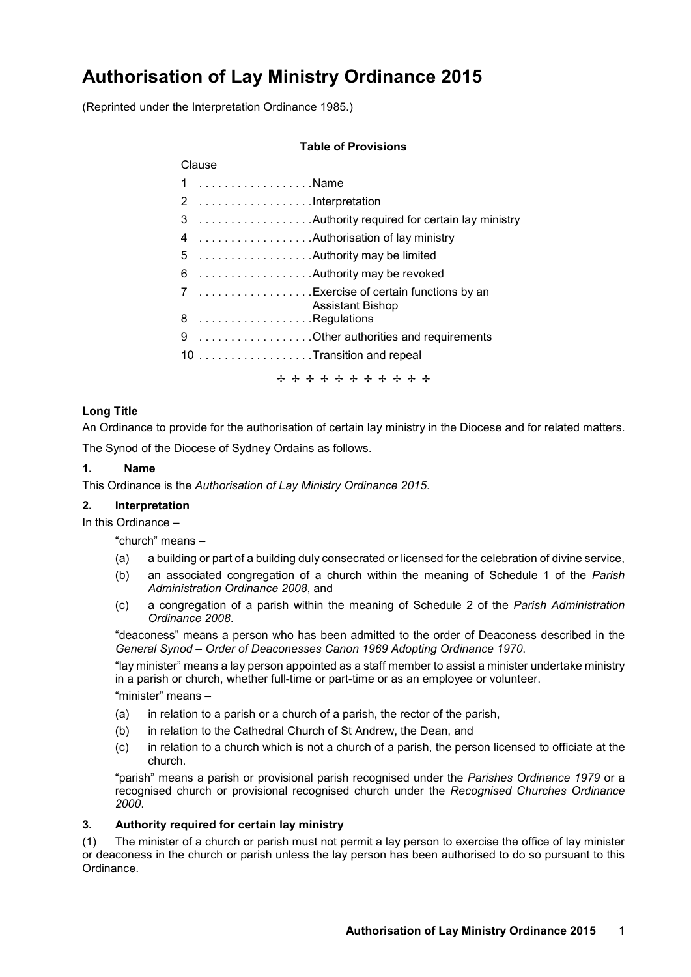# **Authorisation of Lay Ministry Ordinance 2015**

(Reprinted under the Interpretation Ordinance 1985.)

### **Table of Provisions**

| Clause |                                                                  |
|--------|------------------------------------------------------------------|
|        | 1 Name                                                           |
|        |                                                                  |
|        |                                                                  |
| 4      |                                                                  |
| 5      |                                                                  |
| 6      | Authority may be revoked                                         |
|        | 7 Exercise of certain functions by an<br><b>Assistant Bishop</b> |
|        | 8 Regulations                                                    |
|        | 9 Other authorities and requirements                             |
|        | 10 Transition and repeal                                         |
|        | + + + + + + + + + + +                                            |

# **Long Title**

An Ordinance to provide for the authorisation of certain lay ministry in the Diocese and for related matters.

The Synod of the Diocese of Sydney Ordains as follows.

## **1. Name**

This Ordinance is the *Authorisation of Lay Ministry Ordinance 2015*.

#### **2. Interpretation**

In this Ordinance –

"church" means –

- (a) a building or part of a building duly consecrated or licensed for the celebration of divine service,
- (b) an associated congregation of a church within the meaning of Schedule 1 of the *Parish Administration Ordinance 2008*, and
- (c) a congregation of a parish within the meaning of Schedule 2 of the *Parish Administration Ordinance 2008*.

"deaconess" means a person who has been admitted to the order of Deaconess described in the *General Synod – Order of Deaconesses Canon 1969 Adopting Ordinance 1970*.

"lay minister" means a lay person appointed as a staff member to assist a minister undertake ministry in a parish or church, whether full-time or part-time or as an employee or volunteer.

"minister" means –

- (a) in relation to a parish or a church of a parish, the rector of the parish,
- (b) in relation to the Cathedral Church of St Andrew, the Dean, and
- (c) in relation to a church which is not a church of a parish, the person licensed to officiate at the church.

"parish" means a parish or provisional parish recognised under the *Parishes Ordinance 1979* or a recognised church or provisional recognised church under the *Recognised Churches Ordinance 2000*.

#### **3. Authority required for certain lay ministry**

(1) The minister of a church or parish must not permit a lay person to exercise the office of lay minister or deaconess in the church or parish unless the lay person has been authorised to do so pursuant to this Ordinance.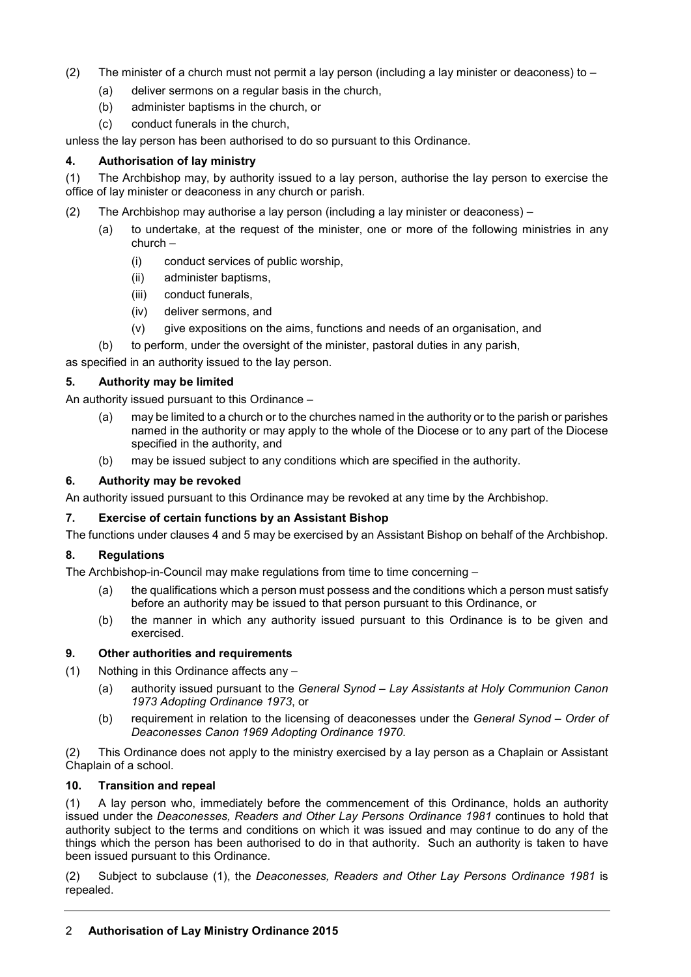- (2) The minister of a church must not permit a lay person (including a lay minister or deaconess) to  $-$ 
	- (a) deliver sermons on a regular basis in the church,
	- (b) administer baptisms in the church, or
	- (c) conduct funerals in the church,

unless the lay person has been authorised to do so pursuant to this Ordinance.

#### **4. Authorisation of lay ministry**

(1) The Archbishop may, by authority issued to a lay person, authorise the lay person to exercise the office of lay minister or deaconess in any church or parish.

- (2) The Archbishop may authorise a lay person (including a lay minister or deaconess)
	- (a) to undertake, at the request of the minister, one or more of the following ministries in any church –
		- (i) conduct services of public worship,
		- (ii) administer baptisms,
		- (iii) conduct funerals,
		- (iv) deliver sermons, and
		- (v) give expositions on the aims, functions and needs of an organisation, and
	- (b) to perform, under the oversight of the minister, pastoral duties in any parish,

as specified in an authority issued to the lay person.

#### **5. Authority may be limited**

An authority issued pursuant to this Ordinance –

- (a) may be limited to a church or to the churches named in the authority or to the parish or parishes named in the authority or may apply to the whole of the Diocese or to any part of the Diocese specified in the authority, and
- (b) may be issued subject to any conditions which are specified in the authority.

#### **6. Authority may be revoked**

An authority issued pursuant to this Ordinance may be revoked at any time by the Archbishop.

#### **7. Exercise of certain functions by an Assistant Bishop**

The functions under clauses 4 and 5 may be exercised by an Assistant Bishop on behalf of the Archbishop.

#### **8. Regulations**

The Archbishop-in-Council may make regulations from time to time concerning –

- (a) the qualifications which a person must possess and the conditions which a person must satisfy before an authority may be issued to that person pursuant to this Ordinance, or
- (b) the manner in which any authority issued pursuant to this Ordinance is to be given and exercised.

#### **9. Other authorities and requirements**

- (1) Nothing in this Ordinance affects any
	- (a) authority issued pursuant to the *General Synod – Lay Assistants at Holy Communion Canon 1973 Adopting Ordinance 1973*, or
	- (b) requirement in relation to the licensing of deaconesses under the *General Synod – Order of Deaconesses Canon 1969 Adopting Ordinance 1970*.

(2) This Ordinance does not apply to the ministry exercised by a lay person as a Chaplain or Assistant Chaplain of a school.

#### **10. Transition and repeal**

(1) A lay person who, immediately before the commencement of this Ordinance, holds an authority issued under the *Deaconesses, Readers and Other Lay Persons Ordinance 1981* continues to hold that authority subject to the terms and conditions on which it was issued and may continue to do any of the things which the person has been authorised to do in that authority. Such an authority is taken to have been issued pursuant to this Ordinance.

(2) Subject to subclause (1), the *Deaconesses, Readers and Other Lay Persons Ordinance 1981* is repealed.